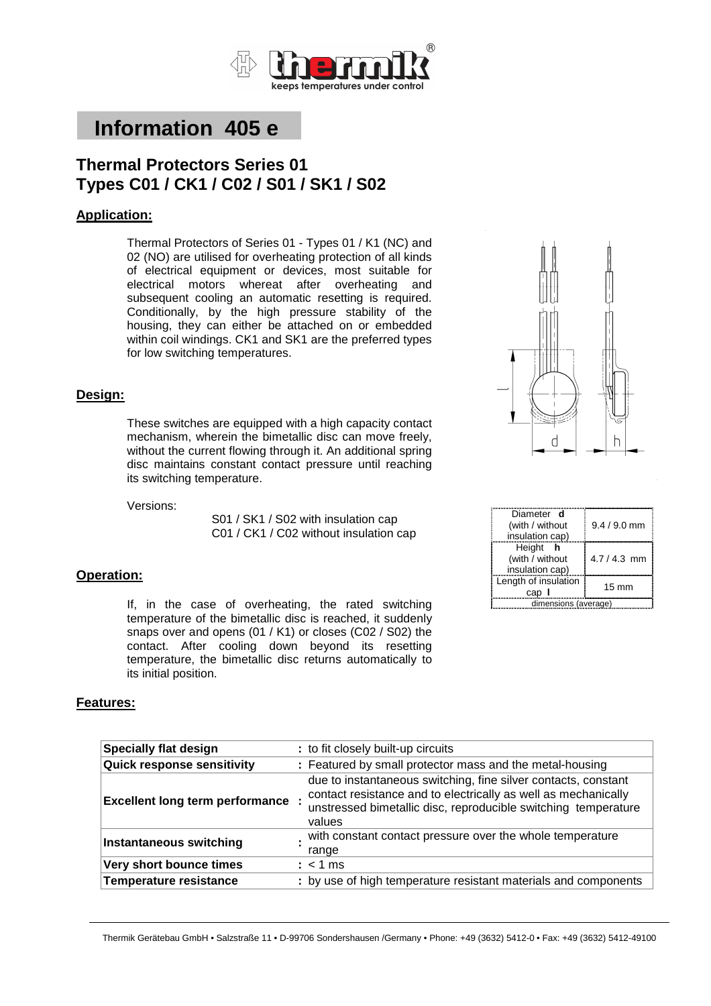

# **Information 405 e**

# **Thermal Protectors Series 01 Types C01 / CK1 / C02 / S01 / SK1 / S02**

## **Application:**

Thermal Protectors of Series 01 - Types 01 / K1 (NC) and 02 (NO) are utilised for overheating protection of all kinds of electrical equipment or devices, most suitable for electrical motors whereat after overheating and subsequent cooling an automatic resetting is required. Conditionally, by the high pressure stability of the housing, they can either be attached on or embedded within coil windings. CK1 and SK1 are the preferred types for low switching temperatures.

#### **Design:**

These switches are equipped with a high capacity contact mechanism, wherein the bimetallic disc can move freely, without the current flowing through it. An additional spring disc maintains constant contact pressure until reaching its switching temperature.

Versions:

S01 / SK1 / S02 with insulation cap C01 / CK1 / C02 without insulation cap

#### **Operation:**

If, in the case of overheating, the rated switching temperature of the bimetallic disc is reached, it suddenly snaps over and opens (01 / K1) or closes (C02 / S02) the contact. After cooling down beyond its resetting temperature, the bimetallic disc returns automatically to its initial position.



| Diameter <b>d</b>    |                 |  |
|----------------------|-----------------|--|
| (with / without      | $9.4 / 9.0$ mm  |  |
| insulation cap)      |                 |  |
| Height h             |                 |  |
| (with / without      | $4.7/4.3$ mm    |  |
| insulation cap)      |                 |  |
| Length of insulation |                 |  |
| cap I                | $15 \text{ mm}$ |  |
| dimensions (average) |                 |  |

#### **Features:**

| <b>Specially flat design</b>           | : to fit closely built-up circuits                                                                                                                                                                           |
|----------------------------------------|--------------------------------------------------------------------------------------------------------------------------------------------------------------------------------------------------------------|
| <b>Quick response sensitivity</b>      | : Featured by small protector mass and the metal-housing                                                                                                                                                     |
| <b>Excellent long term performance</b> | due to instantaneous switching, fine silver contacts, constant<br>contact resistance and to electrically as well as mechanically<br>unstressed bimetallic disc, reproducible switching temperature<br>values |
| <b>Instantaneous switching</b>         | with constant contact pressure over the whole temperature<br>range                                                                                                                                           |
| Very short bounce times                | $:$ < 1 ms                                                                                                                                                                                                   |
| <b>Temperature resistance</b>          | : by use of high temperature resistant materials and components                                                                                                                                              |

Thermik Gerätebau GmbH • Salzstraße 11 • D-99706 Sondershausen /Germany • Phone: +49 (3632) 5412-0 • Fax: +49 (3632) 5412-49100